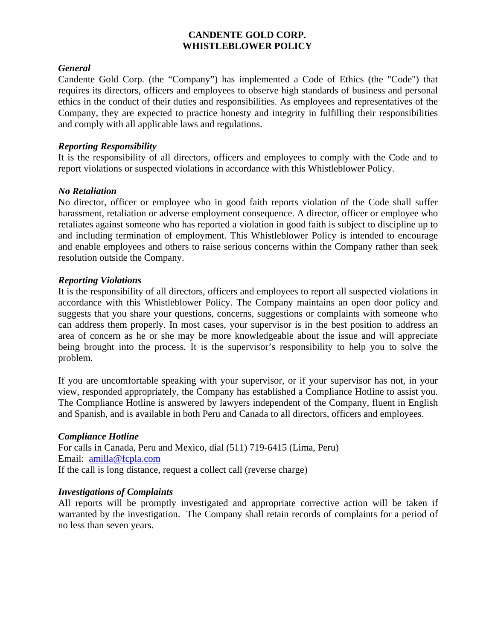# **CANDENTE GOLD CORP. WHISTLEBLOWER POLICY**

# *General*

Candente Gold Corp. (the "Company") has implemented a Code of Ethics (the "Code") that requires its directors, officers and employees to observe high standards of business and personal ethics in the conduct of their duties and responsibilities. As employees and representatives of the Company, they are expected to practice honesty and integrity in fulfilling their responsibilities and comply with all applicable laws and regulations.

## *Reporting Responsibility*

It is the responsibility of all directors, officers and employees to comply with the Code and to report violations or suspected violations in accordance with this Whistleblower Policy.

## *No Retaliation*

No director, officer or employee who in good faith reports violation of the Code shall suffer harassment, retaliation or adverse employment consequence. A director, officer or employee who retaliates against someone who has reported a violation in good faith is subject to discipline up to and including termination of employment. This Whistleblower Policy is intended to encourage and enable employees and others to raise serious concerns within the Company rather than seek resolution outside the Company.

## *Reporting Violations*

It is the responsibility of all directors, officers and employees to report all suspected violations in accordance with this Whistleblower Policy. The Company maintains an open door policy and suggests that you share your questions, concerns, suggestions or complaints with someone who can address them properly. In most cases, your supervisor is in the best position to address an area of concern as he or she may be more knowledgeable about the issue and will appreciate being brought into the process. It is the supervisor's responsibility to help you to solve the problem.

If you are uncomfortable speaking with your supervisor, or if your supervisor has not, in your view, responded appropriately, the Company has established a Compliance Hotline to assist you. The Compliance Hotline is answered by lawyers independent of the Company, fluent in English and Spanish, and is available in both Peru and Canada to all directors, officers and employees.

### *Compliance Hotline*

For calls in Canada, Peru and Mexico, dial (511) 719-6415 (Lima, Peru) Email: amilla@fcpla.com If the call is long distance, request a collect call (reverse charge)

### *Investigations of Complaints*

All reports will be promptly investigated and appropriate corrective action will be taken if warranted by the investigation. The Company shall retain records of complaints for a period of no less than seven years.